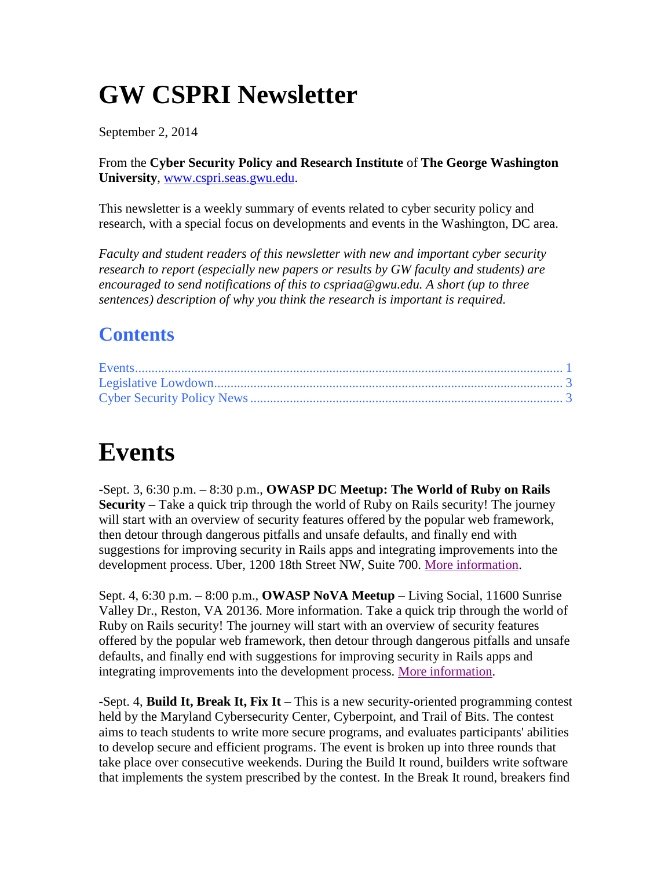# **GW CSPRI Newsletter**

September 2, 2014

From the **Cyber Security Policy and Research Institute** of **The George Washington University**, [www.cspri.seas.gwu.edu.](http://www.cspri.seas.gwu.edu/)

This newsletter is a weekly summary of events related to cyber security policy and research, with a special focus on developments and events in the Washington, DC area.

*Faculty and student readers of this newsletter with new and important cyber security research to report (especially new papers or results by GW faculty and students) are encouraged to send notifications of this to cspriaa@gwu.edu. A short (up to three sentences) description of why you think the research is important is required.*

#### **Contents**

### <span id="page-0-0"></span>**Events**

-Sept. 3, 6:30 p.m. – 8:30 p.m., **OWASP DC Meetup: The World of Ruby on Rails Security** – Take a quick trip through the world of Ruby on Rails security! The journey will start with an overview of security features offered by the popular web framework, then detour through dangerous pitfalls and unsafe defaults, and finally end with suggestions for improving security in Rails apps and integrating improvements into the development process. Uber, 1200 18th Street NW, Suite 700. [More information.](http://www.meetup.com/OWASPDC/events/196158072/)

Sept. 4, 6:30 p.m. – 8:00 p.m., **OWASP NoVA Meetup** – Living Social, 11600 Sunrise Valley Dr., Reston, VA 20136. More information. Take a quick trip through the world of Ruby on Rails security! The journey will start with an overview of security features offered by the popular web framework, then detour through dangerous pitfalls and unsafe defaults, and finally end with suggestions for improving security in Rails apps and integrating improvements into the development process. [More information.](http://www.meetup.com/OWASP-Northern-Virginia-Chapter/events/200805882/?a=ea1_grp&rv=ea1&_af_eid=200805882&_af=event)

-Sept. 4, **Build It, Break It, Fix It** – This is a new security-oriented programming contest held by the Maryland Cybersecurity Center, Cyberpoint, and Trail of Bits. The contest aims to teach students to write more secure programs, and evaluates participants' abilities to develop secure and efficient programs. The event is broken up into three rounds that take place over consecutive weekends. During the Build It round, builders write software that implements the system prescribed by the contest. In the Break It round, breakers find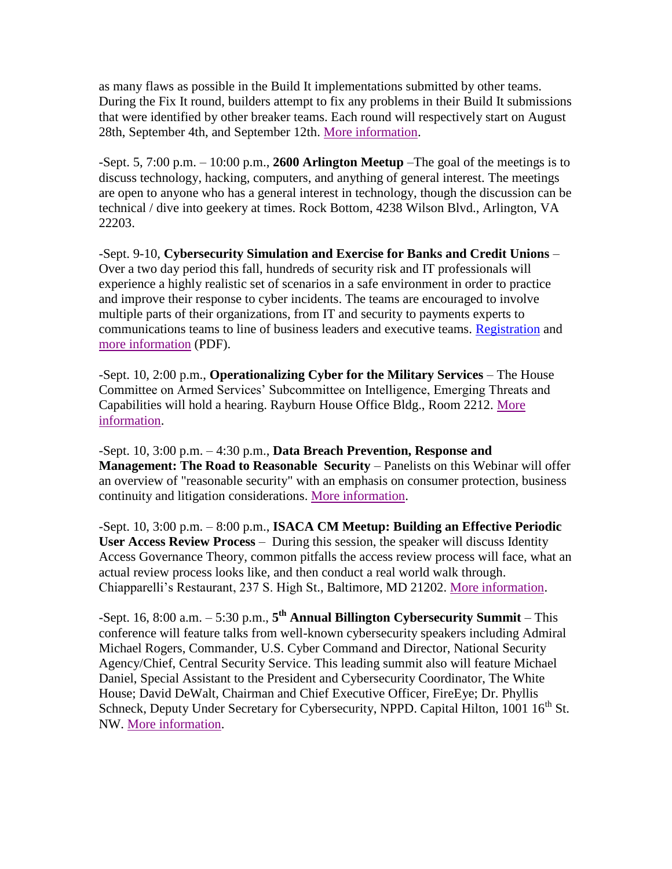as many flaws as possible in the Build It implementations submitted by other teams. During the Fix It round, builders attempt to fix any problems in their Build It submissions that were identified by other breaker teams. Each round will respectively start on August 28th, September 4th, and September 12th. [More information.](https://www.builditbreakit.org/)

-Sept. 5, 7:00 p.m. – 10:00 p.m., **2600 Arlington Meetup** –The goal of the meetings is to discuss technology, hacking, computers, and anything of general interest. The meetings are open to anyone who has a general interest in technology, though the discussion can be technical / dive into geekery at times. Rock Bottom, 4238 Wilson Blvd., Arlington, VA 22203.

-Sept. 9-10, **Cybersecurity Simulation and Exercise for Banks and Credit Unions** – Over a two day period this fall, hundreds of security risk and IT professionals will experience a highly realistic set of scenarios in a safe environment in order to practice and improve their response to cyber incidents. The teams are encouraged to involve multiple parts of their organizations, from IT and security to payments experts to communications teams to line of business leaders and executive teams. [Registration](http://www.fsisac-summit.com/fs-isac-2014-fi-capp-exercise/) and [more information](https://www.fsisac.com/sites/default/files/news/FSISAC_PR_CAPP_07-15-14-v2_AH_WN.pdf) (PDF).

-Sept. 10, 2:00 p.m., **Operationalizing Cyber for the Military Services** – The House Committee on Armed Services' Subcommittee on Intelligence, Emerging Threats and Capabilities will hold a hearing. Rayburn House Office Bldg., Room 2212. [More](http://docs.house.gov/Committee/Calendar/ByEvent.aspx?EventID=102614)  [information.](http://docs.house.gov/Committee/Calendar/ByEvent.aspx?EventID=102614)

-Sept. 10, 3:00 p.m. – 4:30 p.m., **Data Breach Prevention, Response and Management: The Road to Reasonable Security** – Panelists on this Webinar will offer an overview of "reasonable security" with an emphasis on consumer protection, business continuity and litigation considerations. [More information.](http://shop.americanbar.org/ebus/ABAEventsCalendar/EventDetails.aspx?productId=133116150)

-Sept. 10, 3:00 p.m. – 8:00 p.m., **ISACA CM Meetup: Building an Effective Periodic User Access Review Process** – During this session, the speaker will discuss Identity Access Governance Theory, common pitfalls the access review process will face, what an actual review process looks like, and then conduct a real world walk through. Chiapparelli's Restaurant, 237 S. High St., Baltimore, MD 21202. [More information.](http://www.isaca-cmc.org/)

-Sept. 16, 8:00 a.m. – 5:30 p.m., **5 th Annual Billington Cybersecurity Summit** – This conference will feature talks from well-known cybersecurity speakers including Admiral Michael Rogers, Commander, U.S. Cyber Command and Director, National Security Agency/Chief, Central Security Service. This leading summit also will feature Michael Daniel, Special Assistant to the President and Cybersecurity Coordinator, The White House; David DeWalt, Chairman and Chief Executive Officer, FireEye; Dr. Phyllis Schneck, Deputy Under Secretary for Cybersecurity, NPPD. Capital Hilton, 1001 16<sup>th</sup> St. NW. [More information.](http://www.billingtoncybersecurity.com/2014summit/)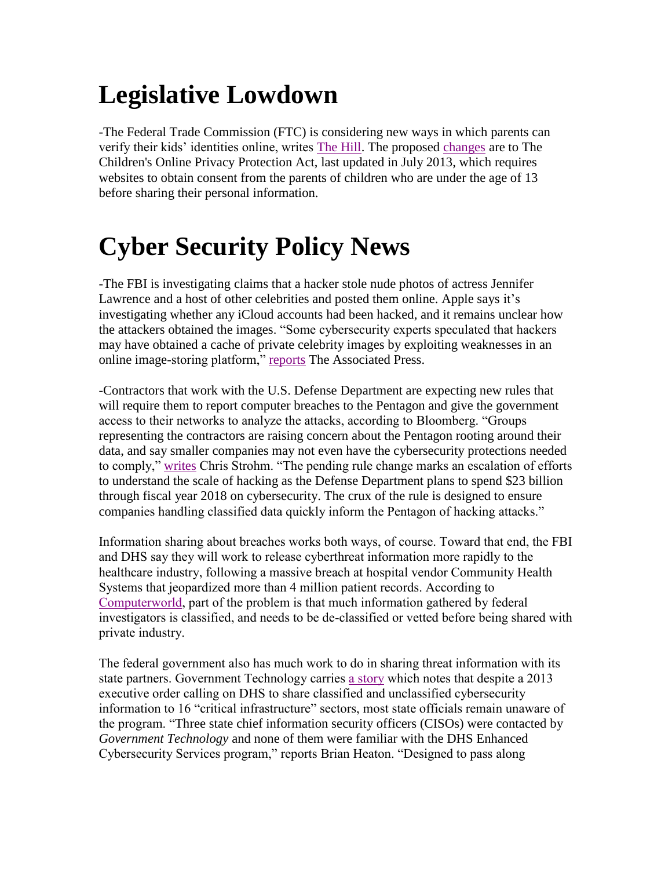# <span id="page-2-0"></span>**Legislative Lowdown**

-The Federal Trade Commission (FTC) is considering new ways in which parents can verify their kids' identities online, writes [The Hill.](http://thehill.com/regulation/216198-ftc-expands-childrens-online-privacy-protection-rule) The proposed [changes](https://s3.amazonaws.com/public-inspection.federalregister.gov/2014-20645.pdf) are to The Children's Online Privacy Protection Act, last updated in July 2013, which requires websites to obtain consent from the parents of children who are under the age of 13 before sharing their personal information.

## <span id="page-2-1"></span>**Cyber Security Policy News**

-The FBI is investigating claims that a hacker stole nude photos of actress Jennifer Lawrence and a host of other celebrities and posted them online. Apple says it's investigating whether any iCloud accounts had been hacked, and it remains unclear how the attackers obtained the images. "Some cybersecurity experts speculated that hackers may have obtained a cache of private celebrity images by exploiting weaknesses in an online image-storing platform," [reports](http://hosted.ap.org/dynamic/stories/U/US_PEOPLE_JENNIFER_LAWRENCE?SITE=AP&SECTION=HOME&TEMPLATE=DEFAULT&CTIME=2014-09-01-17-38-40) The Associated Press.

-Contractors that work with the U.S. Defense Department are expecting new rules that will require them to report computer breaches to the Pentagon and give the government access to their networks to analyze the attacks, according to Bloomberg. "Groups representing the contractors are raising concern about the Pentagon rooting around their data, and say smaller companies may not even have the cybersecurity protections needed to comply," [writes](http://www.bloomberg.com/news/2014-08-13/military-companies-brace-for-rules-on-monitoring-hackers.html) Chris Strohm. "The pending rule change marks an escalation of efforts to understand the scale of hacking as the Defense Department plans to spend \$23 billion through fiscal year 2018 on cybersecurity. The crux of the rule is designed to ensure companies handling classified data quickly inform the Pentagon of hacking attacks."

Information sharing about breaches works both ways, of course. Toward that end, the FBI and DHS say they will work to release cyberthreat information more rapidly to the healthcare industry, following a massive breach at hospital vendor Community Health Systems that jeopardized more than 4 million patient records. According to [Computerworld,](http://www.computerworld.com/article/2598525/healthcare-it/us-agencies-to-release-cyberthreat-info-faster-to-healthcare-industry.html) part of the problem is that much information gathered by federal investigators is classified, and needs to be de-classified or vetted before being shared with private industry.

The federal government also has much work to do in sharing threat information with its state partners. Government Technology carries [a story](http://www.govtech.com/federal/Some-Governments-Unaware-of-Special-DHS-Cybersecurity-Program.html) which notes that despite a 2013 executive order calling on DHS to share classified and unclassified cybersecurity information to 16 "critical infrastructure" sectors, most state officials remain unaware of the program. "Three state chief information security officers (CISOs) were contacted by *Government Technology* and none of them were familiar with the DHS Enhanced Cybersecurity Services program," reports Brian Heaton. "Designed to pass along